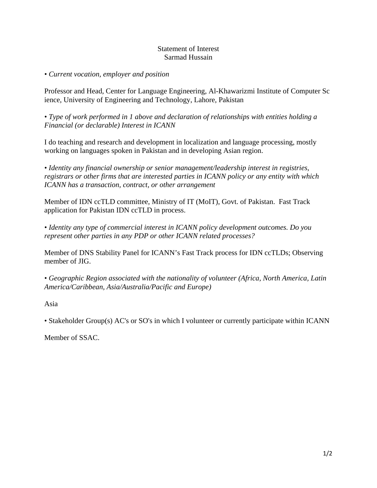## Statement of Interest Sarmad Hussain

## *• Current vocation, employer and position*

Professor and Head, Center for Language Engineering, Al-Khawarizmi Institute of Computer Sc ience, University of Engineering and Technology, Lahore, Pakistan

*• Type of work performed in 1 above and declaration of relationships with entities holding a Financial (or declarable) Interest in ICANN* 

I do teaching and research and development in localization and language processing, mostly working on languages spoken in Pakistan and in developing Asian region.

*• Identity any financial ownership or senior management/leadership interest in registries, registrars or other firms that are interested parties in ICANN policy or any entity with which ICANN has a transaction, contract, or other arrangement* 

Member of IDN ccTLD committee, Ministry of IT (MoIT), Govt. of Pakistan. Fast Track application for Pakistan IDN ccTLD in process.

*• Identity any type of commercial interest in ICANN policy development outcomes. Do you represent other parties in any PDP or other ICANN related processes?* 

Member of DNS Stability Panel for ICANN's Fast Track process for IDN ccTLDs; Observing member of JIG.

*• Geographic Region associated with the nationality of volunteer (Africa, North America, Latin America/Caribbean, Asia/Australia/Pacific and Europe)* 

Asia

• Stakeholder Group(s) AC's or SO's in which I volunteer or currently participate within ICANN

Member of SSAC.